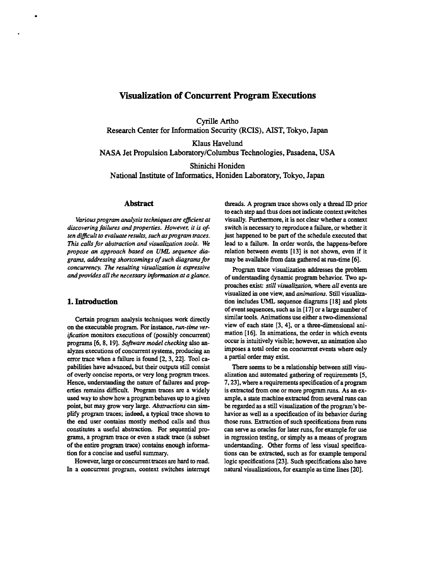# **Visualization of Concurrent Program Executions**

Cyrille Artho

Research Center for Information Security (RCIS), AIST, Tokyo, Japan

Klaus Havelund NASA Jet Propulsion Laboratory/Columbus Technologies, Pasadena, USA

Shinichi Honiden National Institute of Informatics, Honiden Laboratory, Tokyo, Japan

# **Abstract**

*Various program analysis techniques are efficient at discovering failures and properties. However, it is often difficult to evaluate results, such as program traces. This calls for abstraction and visualization tools. We propose an approach based on UML sequence diagrams, addressing shortcomings of such diagrams for concurrency.* The *resulting visualization is expressive and provides all the necessary information at a glance.* 

## **1. Introduction**

•

Certain program analysis techniques work directly on the executable program. For instance, *run-time verification* monitors executions of (possibly concurrent) programs [6, 8, 19]. *Software model checking* also analyzes executions of concurrent systems, producing an error trace when a failure is found [2, 3, 22]. Tool capabilities have advanced, but their outputs still consist of overly concise reports, or very long program traces. Hence, understanding the nature of failures and properties remains difficult. Program traces are a widely used way to show how a program behaves up to a given point, but may grow very large. *Abstractions* can simplify program traces; indeed, a typical trace shown to the end user contains mostly method calls and thus constitutes a useful abstraction. For sequential programs, a program trace or even a stack trace (a subset of the entire program trace) contains enough information for a concise and useful summary.

However, large or concurrent traces are hard to read. In a concurrent program, context switches interrupt threads. A program trace shows only a thread ID prior to each step and thus does not indicate context switches visually. Furthermore, it is not clear whether a context switch is necessary to reproduce a failure, or whether it just happened to be part of the schedule executed that lead to a failure. In order words, the happens-before relation between events [13] is not shown, even if it may be available from data gathered at run-time [6].

Program trace visualization addresses the problem of understanding dynamic program behavior. Two approaches exist: *still visualization,* where *all* events are visualized in one view, and *animations.* Still visualization includes UML sequence diagrams [18] and plots of event sequences, such as in [17] or a large number of similar tools. Animations use either a two-dimensional view of each state [3, 4], or a three-dimensional animation [16]. In animations, the order in which events occur is intuitively visible; however, an animation also imposes a total order on concurrent events where only a partial order may exist

There seems to be a relationship between still visualization and automated gathering of requirements [5, 7,23], where a requirements specification of a program is extracted from one or more program runs. As an example, a state machine extracted from several runs can be regarded as a still visualization of the program's behavior as well as a specification of its behavior during those runs. Extraction of such specifications from runs can serve as oracles for later runs, for example for use in regression testing, or simply as a means of program understanding. Other forms of less visual specifications can be extracted, such as for example temporal logic specifications [23]. Such specifications also have natural visualizations, for example as time lines [20].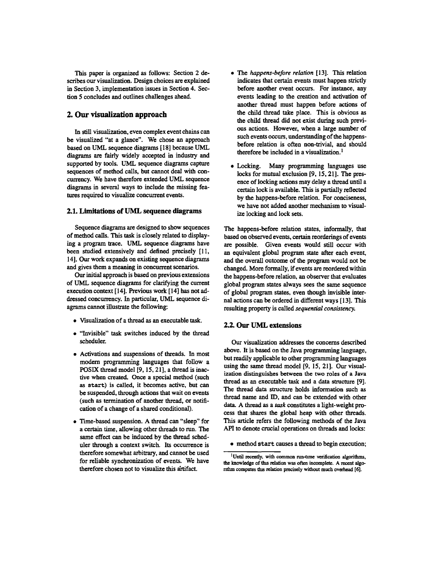This paper is organized as follows: Section 2 describes our visualization. Design choices are explained in Section 3, implementation issues in Section 4. Section 5 concludes and outlines challenges ahead.

# 2. Our visualization approach

In still visualization, even complex event chains can be visualized "at a glance". We chose an approach based on UML sequence diagrams [18] because UML diagrams are fairly widely accepted in industry and supported by tools. UML sequence diagrams capture sequences of method calls, but cannot deal with concurrency. We have therefore extended UML sequence diagrams in several ways to include the missing features required to visualize concurrent events.

### 2.1. Limitations of UML sequence diagrams

Sequence diagrams are designed to show sequences of method calls. This task is closely related to displaying a program trace. UML sequence diagrams have been studied extensively and defined precisely [II, 14]. Our work expands on existing sequence diagrams and gives them a meaning in concurrent scenarios.

Our initial approach is based on previous extensions of UML sequence diagrams for clarifying the current execution context [14]. Previous work [14] has not addressed concurrency. In particular, UML sequence diagrams cannot illustrate the following:

- Visualization of a thread as an executable task.
- "Invisible" task switches induced by the thread scheduler.
- Activations and suspensions of threads. In most modem programming languages that follow a POSIX thread model [9,15,21], a thread is inactive when created. Once a special method (such as start) is called, it becomes active, but can be suspended, through actions that wait on events (such as termination of another thread, or notification of a change of a shared conditional).
- Time-based suspension. A thread can "sleep" for a certain time, allowing other threads to run. The same effect can be induced by the thread scheduler through a context switch. Its occurrence is therefore somewhat arbitrary, and cannot be used for reliable synchronization of events. We have therefore chosen not to visualize this aitifact.
- The *happens-before relation* [13]. This relation indicates that certain events must happen strictly before another event occurs. For instance, any events leading to the creation and activation of another thread must happen before actions of the child thread take place. This is obvious as the child thread did not exist during such previous actions. However, when a large number of such events occurs, understanding of the happensbefore relation is often non-trivial, and should therefore be included in a visualization.<sup>1</sup>
- Locking. Many programming languages use locks for mutual exclusion [9, 15, 21]. The presence of locking actions may delay a thread until a certain lock is available. This is partially reflected by the happens-before relation. For conciseness, we have not added another mechanism to visualize locking and lock sets.

The happens-before relation states, informally, that based on observed events, certain reorderings of events are possible. Given events would still occur with an equivalent global program state after each event, and the overall outcome of the program would not be changed. More formally, if events are reordered within the happens-before relation, an observer that evaluates global program states always sees the same sequence of global program states, even though invisible internal actions can be ordered in different ways [13]. This resulting property is called *sequential consistency.* 

### 2.2. Our UML extensions

Our visualization addresses the concerns described above. It is based on the Java programming language, but readily applicable to other programming languages using the same thread model [9, 15, 21]. Our visualization distinguishes between the two roles of a Java thread as an executable task and a data structure [9]. The thread data structure holds information such as thread name and ID, and can be extended with other data. A thread as a *task* constitutes a light-weight process that shares the global heap with other threads. This article refers the following methods of the Java API to denote crucial operations on threads and locks:

• method start causes a thread to begin execution;

<sup>&</sup>lt;sup>1</sup>Until recently, with common run-time verification algorithms, the knowledge of this relation was often incomplete. A recent algorithm computes this relation precisely without much overhead [6].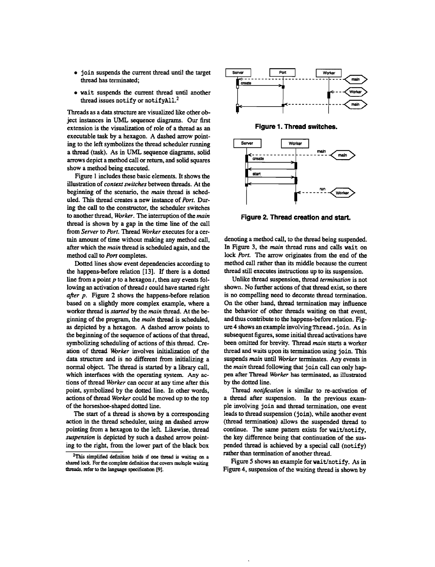- join suspends the current thread until the target thread has terminated;
- wait suspends the current thread until another thread issues notify or notifyAll.<sup>2</sup>

Threads as a data structure are visualized like other object instances in UML sequence diagrams. Our first extension is the visualization of role of a thread as an executable task by a hexagon. A dashed arrow pointing to the left symbolizes the thread scheduler running a thread (task). As in UML sequence diagrams, solid arrows depict a method call or return, and solid squares show a method being executed.

Figure I includes these basic elements. It shows the illustration of *context switches* between threads. At the beginning of the scenario, the *main* thread is scheduled. This thread creates a new instance of *Port.* During the call to the constructor, the scheduler switches to another thread, *Worker.* The interruption of the *main*  thread is shown by a gap in the time line of the call from *Server* to *Port.* Thread *Worker* executes for a certain amount of time without making any method call, after which the *main* thread is scheduled again, and the method call to *Port* completes.

Dotted lines show event dependencies according to the happens-before relation [13]. If there is a dotted line from a point *p* to a hexagon *t,* then any events following an activation of thread *t* could have started right *after p.* Figure 2 shows the happens-before relation based on a slightly more complex example, where a worker thread is *staned* by the *main* thread. At the beginning of the program, the *main* thread is scheduled, as depicted by a hexagon. A dashed arrow points to the beginning of the sequence of actions of that thread, symbolizing scheduling of actions of this thread. Creation of thread *Worker* involves initiaIization of the data structure and is no different from initializing a normal object. The thread is started by a library call, which interfaces with the operating system. Any actions of thread *Worker* can occur at any time after this point, symbolized by the dotted line. In other words, actions of thread *Worker* could be moved up to the top of the horseshoe-shaped dotted line.

The start of a thread is shown by a corresponding action in the thread scheduler, using an dashed arrow pointing from a hexagon to the left. Likewise, thread *suspension* is depicted by such a dashed arrow pointing to the right, from the lower part of the black box



**Figure 1. Thread switches.** 



**Figure 2. Thread creation and start.** 

denoting a method call, to the thread being suspended. In Figure 3, the *main* thread runs and calls wait on lock *Port.* The arrow originates from the end of the method call rather than its middle because the current thread still executes instructions up to its suspension.

Unlike thread suspension, thread *termination* is not shown. No further actions of that thread exist, so there is no compelling need to decorate thread termination. On the other hand, thread termination may influence the behavior of other threads waiting on that event, and thus contribute to the happens-before relation. Figure 4 shows an example involving Thread. join. As in subsequent figures, some initial thread activations have been omitted for brevity. Thread *main* starts a worker thread and waits upon its termination using join. This suspends *main* until *Worker* terminates. Any events in the *main* thread following that join call can only happen after Thread *Worker* has terminated, as illustrated by the dotted line.

Thread *notification* is similar to re-activation of a thread after suspension. In the previous example involving join and thread termination, one event leads to thread suspension (join), while another event (thread termination) allows the suspended thread to continue. The same pattern exists for wait/notify, the key difference being that continuation of the suspended thread is achieved by a special call (notify) rather than termination of another thread.

Figure 5 shows an example for wait/notify. As in Figure 4, suspension of the waiting thread is shown by

<sup>&</sup>lt;sup>2</sup>This simplified definition holds if one thread is waiting on a shared lock. For the complete definition that covers multiple waiting threads, refer to the language specification [9].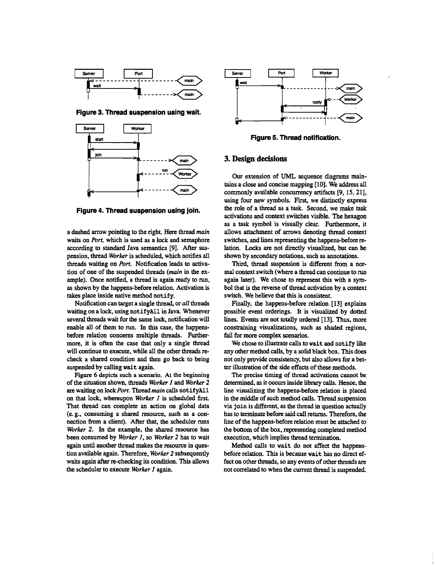

Figure 3. Thread suspension using wait.



Figure 4. Thread suspension using join.

a dashed arrow pointing to the right. Here thread *main*  waits on *Port.* which is used as a lock and semaphore according to standard Java semantics [9]. After suspension. thread *Worker* is scheduled, which notifies all threads waiting on *Port.* Notification leads to activation of one of the suspended threads *(main* in the example). Once notified, a thread is again ready to run, as shown by the happens-before relation. Activation is takes place inside native method notify.

Notification can target a single thread, or all threads waiting on a lock, using notifyAll in Java. Whenever several threads wait for the same lock, notification will enable all of them to run. In this case, the happensbefore relation concerns multiple threads. Furthermore, it is often the case that only a single thread will continue to execute, while all the other threads recheck a shared condition and then go back to being suspended by calling wait again.

Figure 6 depicts such a scenario. At the beginning of the situation shown, threads *Worker* 1 and *Worker 2*  are waiting on lock *Port.* Thread *main* calls notifyAll on that lock, whereupon *Worker* 1 is scheduled first That thread can complete an action on global data (e. g., consuming a shared resource, such as a connection from a client). After that, the scheduler runs *Worker* 2. In the example, the shared resource has been consumed by *Worker* I, so *Worker* 2 has to wait again until another thread makes the resource in question available again. Therefore, *Worker* 2 subsequently waits again after re-checking its condition. This allows the scheduler to execute *Worker* 1 again.



Figure 5. Thread notification.

### 3. Design decisions

Our extension of UML sequence diagrams maintains a close and concise mapping [10]. We address all commonly available concurrency artifacts [9, 15, 21], using four new symbols. First, we distinctly express the role of a thread as a task. Second, we make task activations and context switches visible. The hexagon as a task symbol is visually clear. Furthermore, it allows attachment of arrows denoting thread context switches, and lines representing the happens-before relation. Locks are not directly visualized, but can be shown by secondary notations, such as annotations.

Third. thread suspension is different from a normal context switch (where a thread can continue to run again later). We chose to represent this with a symbol that is the reverse of thread activation by a context switch. We believe that this is consistent.

Finally, the happens-before relation [13] explains possible event orderings. It is visualized by dotted lines. Events are not totally ordered [13]. Thus, more constraining visualizations, such as shaded regions, fail for more complex scenarios.

We chose to illustrate calls to wait and notify like any other method calls, by a solid black box. This does not only provide consistency, but also allows for a better illustration of the side effects of these methods.

The precise timing of thread activations cannot be determined, as it occurs inside library calls. Hence, the line visualizing the happens-before relation is placed in the middle of such method calls. Thread suspension via join is different, as the thread in question actually has to terminate before said call returns. Therefore, the line of the happens-before relation must be attached to the bottom of the box, representing completed method execution, which implies thread termination.

Method calls to wait do not affect the happensbefore relation. This is because wait has no direct effect on other threads, so any events of other threads are not correlated to when the current thread is suspended.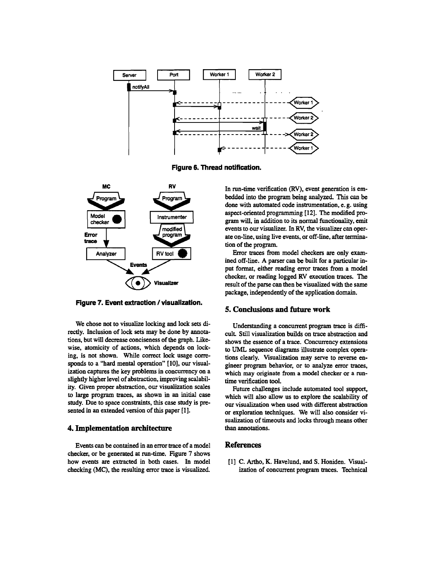

Figure 6. Thread notification.



Figure 7. Event extraction / visualization.

We chose not to visualize locking and lock sets directly. Inclusion of lock sets may be done by annotations, but will decrease conciseness of the graph. Likewise, atomicity of actions, which depends on locking, is not shown. While correct lock usage corresponds to a "hard mental operation" [10], our visualization captures the key problems in concurrency on a slightly higher level of abstraction, improving scalability. Given proper abstraction, our visualization scales to large program traces, as shown in an initial case study. Due to space constraints, this case study is presented in an extended version of this paper [1].

### 4. Implementation architecture

Events can be contained in an error trace of a model checker, or be generated at run-time. Figure 7 shows how events are extracted in both cases. In model checking (MC), the resulting error trace is visualized. In run-time verification (RV), event generation is embedded into the program being analyzed. This can be done with automated code instrumentation, e. g. using aspect-oriented programming [12]. The modified program will, in addition to its normal functionality, emit events to our visualizer. In RV, the visualizer can operate on-line, using live events, or off-line, after termination of the program.

Error traces from model checkers are only examined off-line. A parser can be built for a particular input format, either reading error traces from a model checker, or reading logged RV execution traces. The result of the parse can then be visualized with the same package, independently of the application domain.

### s. Conclusions and future work

Understanding a concurrent program trace is difficult. Still visualization builds on trace abstraction and shows the essence of a trace. Concurrency extensions to UML sequence diagrams illustrate complex operations clearly. Visualization may serve to reverse engineer program behavior, or to analyze error traces, which may originate from a model checker or a runtime verification tool.

Future challenges include automated tool support, which will also allow us to explore the scalability of our visualization when used with different abstraction or exploration techniques. We will also consider visualization of timeouts and locks through means other than annotations.

### References

[1] C. Artho, K. Havelund, and S. Honiden. Visualization of concurrent program traces. Technical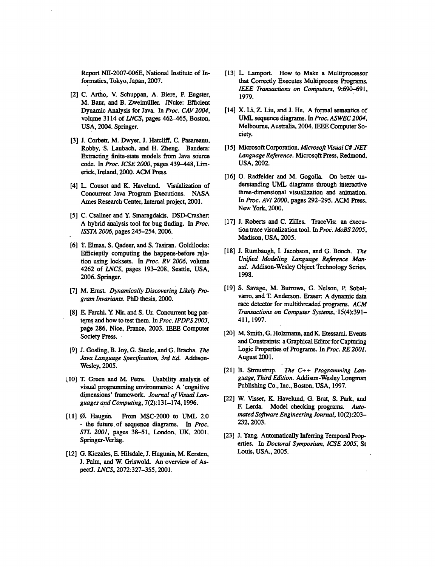Report NII-2007-OO6E, National Institute of Informatics, Tokyo, Japan, 2007.

- [2] C. Artho, V. Schuppan, A. Biere, P. Eugster, M. Baur, and B. Zweimüller. JNuke: Efficient Dynamic Analysis for Java. In *Proc. CAY 2004,*  volume 3114 of *LNCS,* pages 462-465, Boston, USA, 2004. Springer.
- [3] J. Corbett, M. Dwyer, J. Hatcliff, C. Pasareanu, Robby, S. Laubach, and H. Zheng. Bandera: Extracting finite-state models from Java source code. In *Proc. ICSE 2000,* pages 439-448, Limerick, Ireland, 2000. ACM Press.
- [4] L. Cousot and K. Havelund. Visualization of Concurrent Java Program Executions. NASA Ames Research Center, Internal project, 2001.
- [5] C. Csallner and Y. Smaragdakis. DSD-Crasher: A hybrid analysis tool for bug finding. In *Proc. ISSTA 2006,* pages 245-254, 2006.
- [6] T. Elmas, S. Qadeer, and S. Tasiran. Goldilocks: Efficiently computing the happens-before relation using locksets. In *Proc. RV 2006,* volume 4262 of *LNCS,* pages 193-208, Seattle, USA. 2006. Springer.
- [7] M. Ernst. *Dynamically Discovering Likely Program Invariants.* PhD thesis, 2000.
- [8] E. Farchi, Y. Nir, and S. Ur. Concurrent bug pat terns and how to test them. In *Proc. IPDPS 2003*, page 286, Nice, France, 2003. IEEE Computer Society Press.
- [9] J. Gosling, B. Joy, G. Steele, and G. Bracha. *The Java Language Specification. 3rd Ed.* Addison-Wesley, 2005.
- [10] T. Green and M. Petre. Usability analysis of visual programming environments: A 'cognitive dimensions' framework. *Journal of Visual LanguagesamComputing,* 7(2):131-174,1996.
- $[11]$   $\emptyset$ . Haugen. From MSC-2000 to UML 2.0 - the future. of sequence diagrams. In *Proc. STL 2001,* pages 3S-51, London, UK, 2001. Springer-Verlag.
- [12] G. Kiczales, E. Hilsdale, J. Hugunin, M. Kersten, J. Palm, and W. Griswold. An-overview of AspectJ. *LNCS,* 2072:327-355,2001.
- [13] L. Lamport. How to Make a Multiprocessor that Correctly Executes Multiprocess Programs. *IEEE Transactions on Computers,* 9:690-691, 1979. '
- [14] X. Li, Z. Liu, and J. He. A formal semantics of UML sequence diagrams. In *Proc. ASWEC 2004,*  Melbourne, Australia, 2004. IEEE Computer Society.
- [15] Microsoft Corporation. *Microsoft Visual C# .NET* Language Reference. Microsoft Press, Redmond, USA,2002.
- [16] O. Radfelder and M. Gogolla. On better understanding UML diagrams through interactive three-dimensional visualization and animation. In *Proc. AVI 2000:* pages 292-295. ACM Press, New York, 2000. .
- [17] J. Roberts and C. Zilles. TraceVis: an execution trace visualization tool. In *Prot. MoBS 2005,*  Madison, USA, 2005.
- [18] J. Rumbaugh, I. Jacobson, and G. Booch. *The Unified Modeling Language Reference Man*ual. Addison-Wesley Object Technology Series, 1998.
- [19] S. Savage, M. Burrows, G. Nelson, P. Sobalvarro, and T. Anderson. Eraser: A dynamic data race detector for multithreaded programs. *ACM Transactions on Computer Systems,* '15(4):391- 411,1997.
- [20] M. Smith, G. Holzmann, and K. Etessami. Events and Constraints: a Graphical Editor for Capturing Logic Properties of Programs. In *Proc. RE 2001,*  August 2001.
- [21] B. Stroustrup. *The C++ Programming Language. Third Edition.* Addison-Wesley Longman Publishing Co., Inc., Boston, USA, 1997. '
- [22] W. VIsser, K. Havelund, G. Brat, S. Park, and F. Lerda. Model checking programs. *Automaled Software Engineering journal,* 10(2):203- 232,2003.
- [23] J. Yang. Automatically Inferring Temporal Properties. In *Doctoral Symposium. ICSE 2005;* St Louis, USA., 2005.